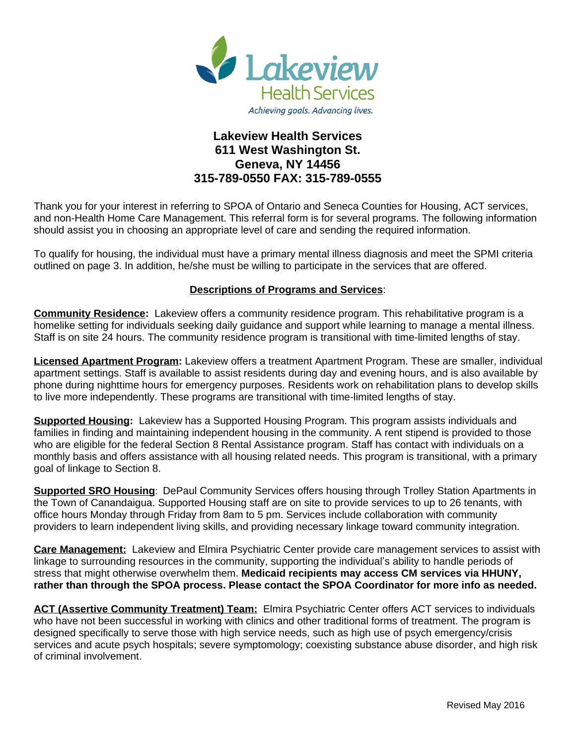

# **Lakeview Health Services 611 West Washington St. Geneva, NY 14456 315-789-0550 FAX: 315-789-0555**

Thank you for your interest in referring to SPOA of Ontario and Seneca Counties for Housing, ACT services, and non-Health Home Care Management. This referral form is for several programs. The following information should assist you in choosing an appropriate level of care and sending the required information.

To qualify for housing, the individual must have a primary mental illness diagnosis and meet the SPMI criteria outlined on page 3. In addition, he/she must be willing to participate in the services that are offered.

### **Descriptions of Programs and Services**:

**Community Residence:** Lakeview offers a community residence program. This rehabilitative program is a homelike setting for individuals seeking daily guidance and support while learning to manage a mental illness. Staff is on site 24 hours. The community residence program is transitional with time-limited lengths of stay.

**Licensed Apartment Program:** Lakeview offers a treatment Apartment Program. These are smaller, individual apartment settings. Staff is available to assist residents during day and evening hours, and is also available by phone during nighttime hours for emergency purposes. Residents work on rehabilitation plans to develop skills to live more independently. These programs are transitional with time-limited lengths of stay.

**Supported Housing:** Lakeview has a Supported Housing Program. This program assists individuals and families in finding and maintaining independent housing in the community. A rent stipend is provided to those who are eligible for the federal Section 8 Rental Assistance program. Staff has contact with individuals on a monthly basis and offers assistance with all housing related needs. This program is transitional, with a primary goal of linkage to Section 8.

**Supported SRO Housing**: DePaul Community Services offers housing through Trolley Station Apartments in the Town of Canandaigua. Supported Housing staff are on site to provide services to up to 26 tenants, with office hours Monday through Friday from 8am to 5 pm. Services include collaboration with community providers to learn independent living skills, and providing necessary linkage toward community integration.

**Care Management:** Lakeview and Elmira Psychiatric Center provide care management services to assist with linkage to surrounding resources in the community, supporting the individual's ability to handle periods of stress that might otherwise overwhelm them. **Medicaid recipients may access CM services via HHUNY, rather than through the SPOA process. Please contact the SPOA Coordinator for more info as needed.**

**ACT (Assertive Community Treatment) Team:** Elmira Psychiatric Center offers ACT services to individuals who have not been successful in working with clinics and other traditional forms of treatment. The program is designed specifically to serve those with high service needs, such as high use of psych emergency/crisis services and acute psych hospitals; severe symptomology; coexisting substance abuse disorder, and high risk of criminal involvement.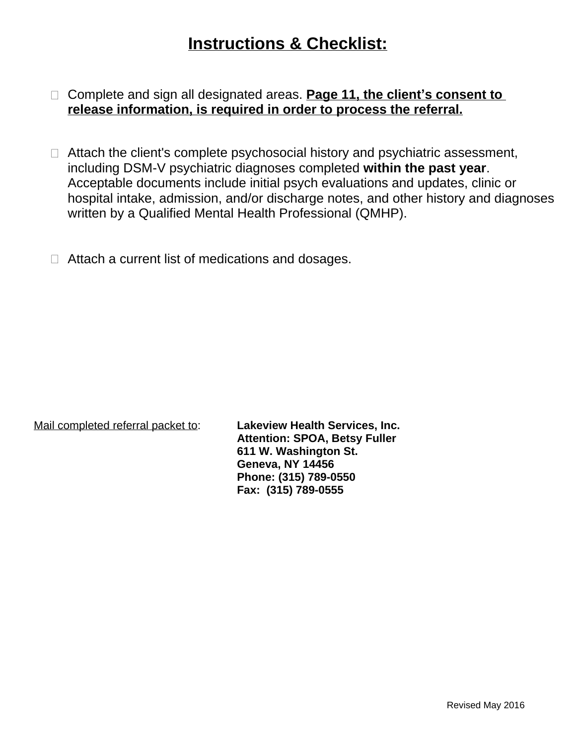# **Instructions & Checklist:**

- □ Complete and sign all designated areas. **Page 11, the client's consent to release information, is required in order to process the referral.**
- $\Box$  Attach the client's complete psychosocial history and psychiatric assessment, including DSM-V psychiatric diagnoses completed **within the past year**. Acceptable documents include initial psych evaluations and updates, clinic or hospital intake, admission, and/or discharge notes, and other history and diagnoses written by a Qualified Mental Health Professional (QMHP).
- $\Box$  Attach a current list of medications and dosages.

Mail completed referral packet to: **Lakeview Health Services, Inc.**

**Attention: SPOA, Betsy Fuller 611 W. Washington St. Geneva, NY 14456 Phone: (315) 789-0550 Fax: (315) 789-0555**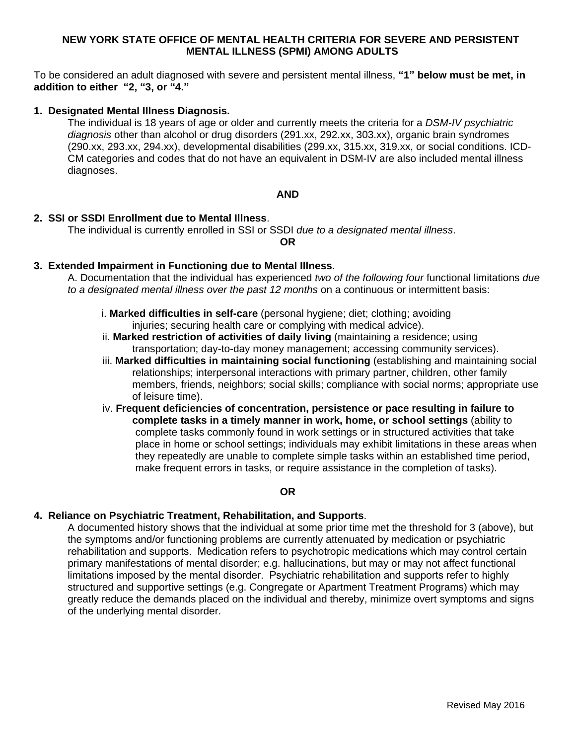#### **NEW YORK STATE OFFICE OF MENTAL HEALTH CRITERIA FOR SEVERE AND PERSISTENT MENTAL ILLNESS (SPMI) AMONG ADULTS**

To be considered an adult diagnosed with severe and persistent mental illness, **"1" below must be met, in addition to either "2, "3, or "4."**

#### **1. Designated Mental Illness Diagnosis.**

The individual is 18 years of age or older and currently meets the criteria for a *DSM-IV psychiatric diagnosis* other than alcohol or drug disorders (291.xx, 292.xx, 303.xx), organic brain syndromes (290.xx, 293.xx, 294.xx), developmental disabilities (299.xx, 315.xx, 319.xx, or social conditions. ICD-CM categories and codes that do not have an equivalent in DSM-IV are also included mental illness diagnoses.

#### **AND**

#### **2. SSI or SSDI Enrollment due to Mental Illness**.

The individual is currently enrolled in SSI or SSDI *due to a designated mental illness*.

**OR**

#### **3. Extended Impairment in Functioning due to Mental Illness**.

A. Documentation that the individual has experienced *two of the following four* functional limitations *due to a designated mental illness over the past 12 months* on a continuous or intermittent basis:

- i. **Marked difficulties in self-care** (personal hygiene; diet; clothing; avoiding injuries; securing health care or complying with medical advice).
- ii. **Marked restriction of activities of daily living** (maintaining a residence; using transportation; day-to-day money management; accessing community services).
- iii. **Marked difficulties in maintaining social functioning** (establishing and maintaining social relationships; interpersonal interactions with primary partner, children, other family members, friends, neighbors; social skills; compliance with social norms; appropriate use of leisure time).
- iv. **Frequent deficiencies of concentration, persistence or pace resulting in failure to complete tasks in a timely manner in work, home, or school settings** (ability to complete tasks commonly found in work settings or in structured activities that take place in home or school settings; individuals may exhibit limitations in these areas when they repeatedly are unable to complete simple tasks within an established time period, make frequent errors in tasks, or require assistance in the completion of tasks).

### **OR**

#### **4. Reliance on Psychiatric Treatment, Rehabilitation, and Supports**.

A documented history shows that the individual at some prior time met the threshold for 3 (above), but the symptoms and/or functioning problems are currently attenuated by medication or psychiatric rehabilitation and supports. Medication refers to psychotropic medications which may control certain primary manifestations of mental disorder; e.g. hallucinations, but may or may not affect functional limitations imposed by the mental disorder. Psychiatric rehabilitation and supports refer to highly structured and supportive settings (e.g. Congregate or Apartment Treatment Programs) which may greatly reduce the demands placed on the individual and thereby, minimize overt symptoms and signs of the underlying mental disorder.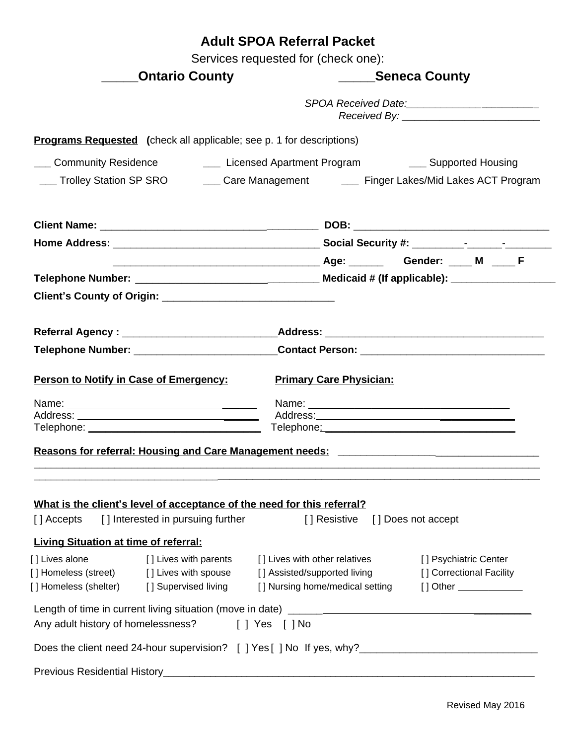|                                                                |                                                                             | <b>Adult SPOA Referral Packet</b>   |                                               |                                                                                                      |  |
|----------------------------------------------------------------|-----------------------------------------------------------------------------|-------------------------------------|-----------------------------------------------|------------------------------------------------------------------------------------------------------|--|
|                                                                |                                                                             | Services requested for (check one): |                                               |                                                                                                      |  |
|                                                                | <b>Ontario County</b>                                                       |                                     | ______Seneca County                           |                                                                                                      |  |
|                                                                |                                                                             |                                     | SPOA Received Date:__________________________ |                                                                                                      |  |
|                                                                | <b>Programs Requested</b> (check all applicable; see p. 1 for descriptions) |                                     |                                               |                                                                                                      |  |
| ___ Community Residence                                        |                                                                             |                                     |                                               | Licensed Apartment Program ________ Supported Housing                                                |  |
| ___ Trolley Station SP SRO                                     |                                                                             |                                     |                                               | ___ Care Management _______ Finger Lakes/Mid Lakes ACT Program                                       |  |
|                                                                |                                                                             |                                     |                                               |                                                                                                      |  |
|                                                                |                                                                             |                                     |                                               |                                                                                                      |  |
|                                                                |                                                                             |                                     |                                               |                                                                                                      |  |
|                                                                |                                                                             |                                     |                                               |                                                                                                      |  |
|                                                                |                                                                             |                                     |                                               |                                                                                                      |  |
|                                                                |                                                                             |                                     |                                               |                                                                                                      |  |
|                                                                |                                                                             |                                     |                                               | Referral Agency : ____________________________Address: _________________________                     |  |
|                                                                |                                                                             |                                     |                                               | Telephone Number: _______________________________Contact Person: ___________________________________ |  |
|                                                                |                                                                             |                                     |                                               |                                                                                                      |  |
| Person to Notify in Case of Emergency:                         |                                                                             |                                     | <b>Primary Care Physician:</b>                |                                                                                                      |  |
|                                                                |                                                                             |                                     |                                               |                                                                                                      |  |
|                                                                |                                                                             |                                     |                                               |                                                                                                      |  |
|                                                                | Reasons for referral: Housing and Care Management needs:                    |                                     |                                               |                                                                                                      |  |
|                                                                |                                                                             |                                     |                                               |                                                                                                      |  |
|                                                                |                                                                             |                                     |                                               |                                                                                                      |  |
|                                                                | What is the client's level of acceptance of the need for this referral?     |                                     |                                               |                                                                                                      |  |
| [] Accepts                                                     | [] Interested in pursuing further                                           |                                     | [] Resistive                                  | [] Does not accept                                                                                   |  |
|                                                                |                                                                             |                                     |                                               |                                                                                                      |  |
| <b>Living Situation at time of referral:</b><br>[] Lives alone | [ ] Lives with parents                                                      |                                     | [] Lives with other relatives                 | [] Psychiatric Center                                                                                |  |
| [] Homeless (street) [] Lives with spouse                      |                                                                             | [] Assisted/supported living        |                                               | [] Correctional Facility                                                                             |  |
| [] Homeless (shelter) [] Supervised living                     |                                                                             |                                     | [] Nursing home/medical setting               | [] Other ______________                                                                              |  |
|                                                                |                                                                             |                                     |                                               |                                                                                                      |  |
|                                                                | Any adult history of homelessness? [ ] Yes [ ] No                           |                                     |                                               |                                                                                                      |  |
|                                                                |                                                                             |                                     |                                               | Does the client need 24-hour supervision? [ ] Yes [ ] No If yes, why?_______________________________ |  |
|                                                                |                                                                             |                                     |                                               |                                                                                                      |  |
|                                                                |                                                                             |                                     |                                               |                                                                                                      |  |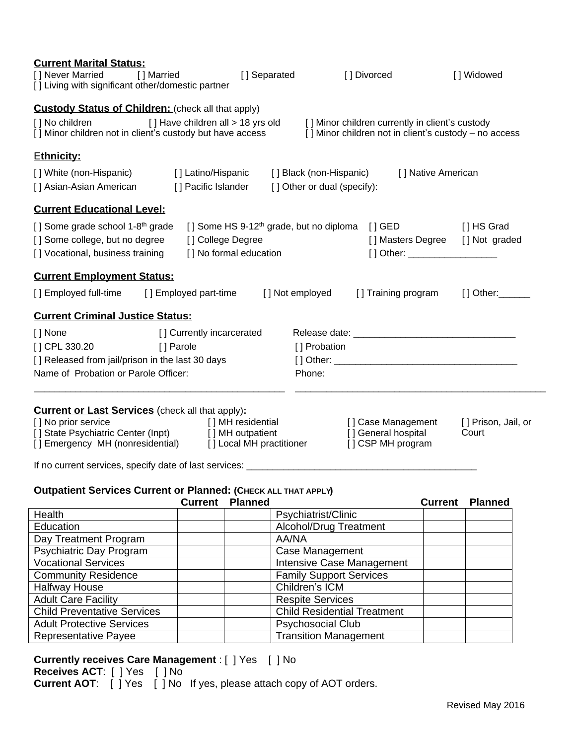| <b>Current Marital Status:</b><br>[] Never Married<br>[ ] Married<br>[] Living with significant other/domestic partner                                                                                                                                             |                                            | [] Separated                      |                                                            | [] Divorced                                                                                              |                    | [] Widowed                                     |
|--------------------------------------------------------------------------------------------------------------------------------------------------------------------------------------------------------------------------------------------------------------------|--------------------------------------------|-----------------------------------|------------------------------------------------------------|----------------------------------------------------------------------------------------------------------|--------------------|------------------------------------------------|
| <b>Custody Status of Children:</b> (check all that apply)<br>[] No children<br>[] Minor children not in client's custody but have access                                                                                                                           |                                            | [] Have children all > 18 yrs old |                                                            | [] Minor children currently in client's custody<br>[] Minor children not in client's custody - no access |                    |                                                |
| <b>Ethnicity:</b>                                                                                                                                                                                                                                                  |                                            |                                   |                                                            |                                                                                                          |                    |                                                |
| [] White (non-Hispanic)<br>[] Asian-Asian American                                                                                                                                                                                                                 | [] Latino/Hispanic<br>[ ] Pacific Islander |                                   | [ ] Black (non-Hispanic)<br>[] Other or dual (specify):    |                                                                                                          | [] Native American |                                                |
| <b>Current Educational Level:</b>                                                                                                                                                                                                                                  |                                            |                                   |                                                            |                                                                                                          |                    |                                                |
| [] Some grade school 1-8 <sup>th</sup> grade<br>[] Some college, but no degree<br>[] Vocational, business training                                                                                                                                                 | [] College Degree                          | [] No formal education            | [] Some HS 9-12 <sup>th</sup> grade, but no diploma [] GED | [] Other: _____________________                                                                          |                    | [ ] HS Grad<br>[] Masters Degree [] Not graded |
| <b>Current Employment Status:</b>                                                                                                                                                                                                                                  |                                            |                                   |                                                            |                                                                                                          |                    |                                                |
| [] Employed full-time                                                                                                                                                                                                                                              | [] Employed part-time                      |                                   | [ ] Not employed                                           | [] Training program                                                                                      |                    | $[ ]$ Other: $\rule{1em}{0.15mm}$              |
| <b>Current Criminal Justice Status:</b>                                                                                                                                                                                                                            |                                            |                                   |                                                            |                                                                                                          |                    |                                                |
| [ ] None<br>[ ] CPL 330.20<br>[] Released from jail/prison in the last 30 days<br>Name of Probation or Parole Officer:                                                                                                                                             | [] Currently incarcerated<br>[] Parole     |                                   | [] Probation<br>Phone:                                     |                                                                                                          |                    |                                                |
| <b>Current or Last Services</b> (check all that apply):<br>[] No prior service<br>[] State Psychiatric Center (Inpt) [] MH outpatient<br>[] Emergency MH (nonresidential) [] Local MH practitioner<br>If no current services, specify date of last services: _____ |                                            | [] MH residential                 |                                                            | [] Case Management<br>[] General hospital<br>[] CSP MH program                                           |                    | [] Prison, Jail, or<br>Court                   |
|                                                                                                                                                                                                                                                                    |                                            |                                   |                                                            |                                                                                                          |                    |                                                |
| Outpatient Services Current or Planned: (CHECK ALL THAT APPLY)                                                                                                                                                                                                     | <b>Current</b>                             | <b>Planned</b>                    |                                                            |                                                                                                          | <b>Current</b>     | <b>Planned</b>                                 |
| Health                                                                                                                                                                                                                                                             |                                            |                                   | Psychiatrist/Clinic                                        |                                                                                                          |                    |                                                |
| Education                                                                                                                                                                                                                                                          |                                            |                                   | Alcohol/Drug Treatment                                     |                                                                                                          |                    |                                                |
| Day Treatment Program<br>AA/NA                                                                                                                                                                                                                                     |                                            |                                   |                                                            |                                                                                                          |                    |                                                |
| Case Management<br>Psychiatric Day Program                                                                                                                                                                                                                         |                                            |                                   |                                                            |                                                                                                          |                    |                                                |

| Case Management                    |  |
|------------------------------------|--|
| Intensive Case Management          |  |
| <b>Family Support Services</b>     |  |
| Children's ICM                     |  |
| <b>Respite Services</b>            |  |
| <b>Child Residential Treatment</b> |  |
| <b>Psychosocial Club</b>           |  |
| <b>Transition Management</b>       |  |
|                                    |  |

#### **Currently receives Care Management** : [ ] Yes [ ] No

**Receives ACT**: [ ] Yes [ ] No **Current AOT**: [ ] Yes [ ] No If yes, please attach copy of AOT orders.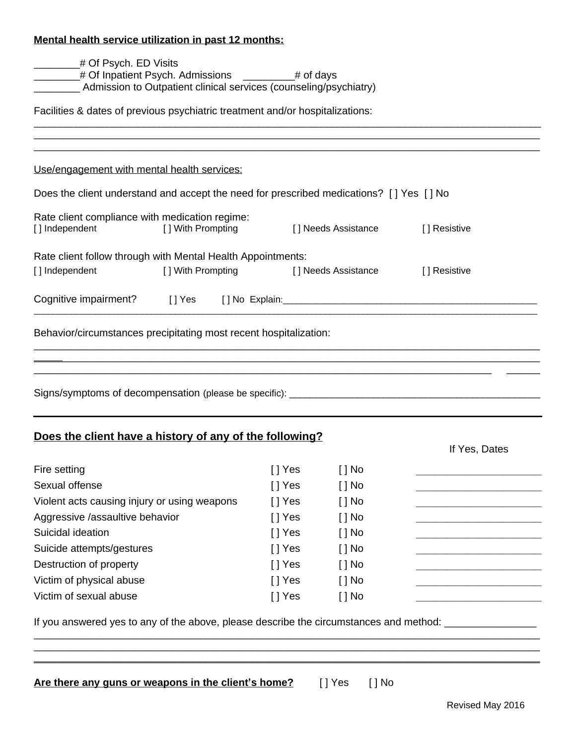# **Mental health service utilization in past 12 months:**

|                                                                                                                                              | # Of Psych. ED Visits<br>4 Of Inpatient Psych. Admissions _________# of days<br>Admission to Outpatient clinical services (counseling/psychiatry) |                     |                      |                                                                            |
|----------------------------------------------------------------------------------------------------------------------------------------------|---------------------------------------------------------------------------------------------------------------------------------------------------|---------------------|----------------------|----------------------------------------------------------------------------|
| Facilities & dates of previous psychiatric treatment and/or hospitalizations:                                                                |                                                                                                                                                   |                     |                      |                                                                            |
|                                                                                                                                              |                                                                                                                                                   |                     |                      |                                                                            |
| Use/engagement with mental health services:                                                                                                  |                                                                                                                                                   |                     |                      |                                                                            |
| Does the client understand and accept the need for prescribed medications? [] Yes [] No                                                      |                                                                                                                                                   |                     |                      |                                                                            |
| Rate client compliance with medication regime:<br>[] Independent<br>[ ] With Prompting                                                       |                                                                                                                                                   | [] Needs Assistance |                      | [] Resistive                                                               |
| Rate client follow through with Mental Health Appointments:                                                                                  |                                                                                                                                                   |                     |                      |                                                                            |
| [] Independent                                                                                                                               | [ ] With Prompting                                                                                                                                |                     | [] Needs Assistance  | [] Resistive                                                               |
|                                                                                                                                              |                                                                                                                                                   |                     |                      |                                                                            |
|                                                                                                                                              |                                                                                                                                                   |                     |                      |                                                                            |
|                                                                                                                                              |                                                                                                                                                   |                     |                      |                                                                            |
| Behavior/circumstances precipitating most recent hospitalization:<br>Does the client have a history of any of the following?<br>Fire setting |                                                                                                                                                   |                     |                      | If Yes, Dates                                                              |
|                                                                                                                                              |                                                                                                                                                   | [ ] Yes<br>$[]$ Yes | [ ] No<br>$[$ $]$ No |                                                                            |
|                                                                                                                                              |                                                                                                                                                   | [] Yes              | $[ ]$ No             | the control of the control of the control of the control of the control of |
|                                                                                                                                              |                                                                                                                                                   | $[]$ Yes            | $[$ $]$ No           |                                                                            |
| Sexual offense<br>Violent acts causing injury or using weapons<br>Aggressive /assaultive behavior<br>Suicidal ideation                       |                                                                                                                                                   | $[]$ Yes            | $[$ $]$ No           |                                                                            |
|                                                                                                                                              |                                                                                                                                                   | $[]$ Yes            | $[$ $]$ No           |                                                                            |
|                                                                                                                                              |                                                                                                                                                   | [] Yes              | $[$ $]$ No           |                                                                            |
|                                                                                                                                              |                                                                                                                                                   | $[]$ Yes            | $[ ]$ No             |                                                                            |
| Suicide attempts/gestures<br>Destruction of property<br>Victim of physical abuse<br>Victim of sexual abuse                                   |                                                                                                                                                   | [] Yes              | $[ ]$ No             |                                                                            |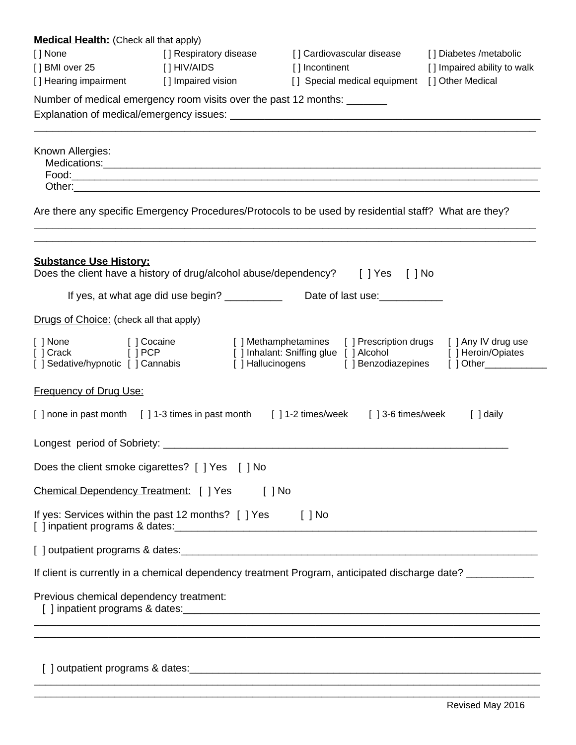| <b>Medical Health:</b> (Check all that apply)<br>[] None<br>[] BMI over 25  | [] Respiratory disease<br>[ ] HIV/AIDS<br>[] Hearing impairment [] Impaired vision | [] Cardiovascular disease<br>[] Incontinent<br>[] Special medical equipment [] Other Medical                                                                                                                                   | [] Diabetes /metabolic<br>[] Impaired ability to walk              |  |  |  |  |
|-----------------------------------------------------------------------------|------------------------------------------------------------------------------------|--------------------------------------------------------------------------------------------------------------------------------------------------------------------------------------------------------------------------------|--------------------------------------------------------------------|--|--|--|--|
| Number of medical emergency room visits over the past 12 months: _______    |                                                                                    |                                                                                                                                                                                                                                |                                                                    |  |  |  |  |
| Known Allergies:                                                            |                                                                                    | Other: contract the contract of the contract of the contract of the contract of the contract of the contract of the contract of the contract of the contract of the contract of the contract of the contract of the contract o |                                                                    |  |  |  |  |
|                                                                             |                                                                                    | Are there any specific Emergency Procedures/Protocols to be used by residential staff? What are they?                                                                                                                          |                                                                    |  |  |  |  |
| <b>Substance Use History:</b>                                               |                                                                                    | Does the client have a history of drug/alcohol abuse/dependency? [ ] Yes [ ] No                                                                                                                                                |                                                                    |  |  |  |  |
|                                                                             |                                                                                    | If yes, at what age did use begin? ____________ Date of last use: _____________                                                                                                                                                |                                                                    |  |  |  |  |
| Drugs of Choice: (check all that apply)                                     |                                                                                    |                                                                                                                                                                                                                                |                                                                    |  |  |  |  |
| [] None [] Cocaine<br>[] Crack [] PCP<br>[ ] Sedative/hypnotic [ ] Cannabis |                                                                                    | [] Methamphetamines [] Prescription drugs<br>[ ] Inhalant: Sniffing glue [ ] Alcohol<br>[] Hallucinogens [] Benzodiazepines                                                                                                    | [ ] Any IV drug use<br>[ ] Heroin/Opiates<br>[ ] Other____________ |  |  |  |  |
| Frequency of Drug Use:                                                      |                                                                                    |                                                                                                                                                                                                                                |                                                                    |  |  |  |  |
|                                                                             |                                                                                    | [] none in past month [] 1-3 times in past month [] 1-2 times/week [] 3-6 times/week [] daily                                                                                                                                  |                                                                    |  |  |  |  |
|                                                                             |                                                                                    |                                                                                                                                                                                                                                |                                                                    |  |  |  |  |
|                                                                             | Does the client smoke cigarettes? [ ] Yes [ ] No                                   |                                                                                                                                                                                                                                |                                                                    |  |  |  |  |
| Chemical Dependency Treatment: [ ] Yes                                      |                                                                                    | $[$ $]$ No                                                                                                                                                                                                                     |                                                                    |  |  |  |  |
|                                                                             | If yes: Services within the past 12 months? [ ] Yes [ ] No                         |                                                                                                                                                                                                                                |                                                                    |  |  |  |  |
|                                                                             |                                                                                    |                                                                                                                                                                                                                                |                                                                    |  |  |  |  |
|                                                                             |                                                                                    | If client is currently in a chemical dependency treatment Program, anticipated discharge date? ______________                                                                                                                  |                                                                    |  |  |  |  |
| Previous chemical dependency treatment:                                     |                                                                                    |                                                                                                                                                                                                                                |                                                                    |  |  |  |  |
|                                                                             |                                                                                    |                                                                                                                                                                                                                                |                                                                    |  |  |  |  |

\_\_\_\_\_\_\_\_\_\_\_\_\_\_\_\_\_\_\_\_\_\_\_\_\_\_\_\_\_\_\_\_\_\_\_\_\_\_\_\_\_\_\_\_\_\_\_\_\_\_\_\_\_\_\_\_\_\_\_\_\_\_\_\_\_\_\_\_\_\_\_\_\_\_\_\_\_\_\_\_\_\_\_\_\_\_\_\_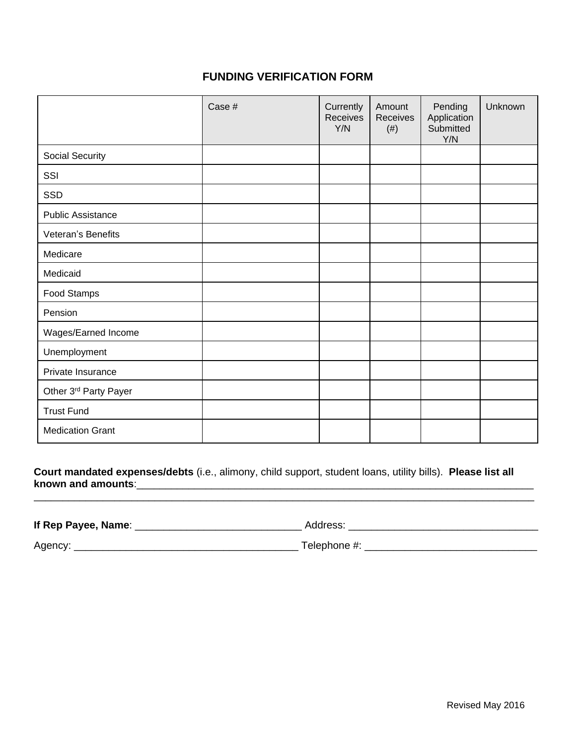## **FUNDING VERIFICATION FORM**

|                          | Case # | Currently<br><b>Receives</b><br>Y/N | Amount<br>Receives<br>$(\#)$ | Pending<br>Application<br>Submitted<br>Y/N | Unknown |
|--------------------------|--------|-------------------------------------|------------------------------|--------------------------------------------|---------|
| Social Security          |        |                                     |                              |                                            |         |
| SSI                      |        |                                     |                              |                                            |         |
| SSD                      |        |                                     |                              |                                            |         |
| <b>Public Assistance</b> |        |                                     |                              |                                            |         |
| Veteran's Benefits       |        |                                     |                              |                                            |         |
| Medicare                 |        |                                     |                              |                                            |         |
| Medicaid                 |        |                                     |                              |                                            |         |
| Food Stamps              |        |                                     |                              |                                            |         |
| Pension                  |        |                                     |                              |                                            |         |
| Wages/Earned Income      |        |                                     |                              |                                            |         |
| Unemployment             |        |                                     |                              |                                            |         |
| Private Insurance        |        |                                     |                              |                                            |         |
| Other 3rd Party Payer    |        |                                     |                              |                                            |         |
| <b>Trust Fund</b>        |        |                                     |                              |                                            |         |
| <b>Medication Grant</b>  |        |                                     |                              |                                            |         |

**Court mandated expenses/debts** (i.e., alimony, child support, student loans, utility bills). **Please list all known and amounts**:\_\_\_\_\_\_\_\_\_\_\_\_\_\_\_\_\_\_\_\_\_\_\_\_\_\_\_\_\_\_\_\_\_\_\_\_\_\_\_\_\_\_\_\_\_\_\_\_\_\_\_\_\_\_\_\_\_\_\_\_\_\_\_\_\_\_\_\_\_

\_\_\_\_\_\_\_\_\_\_\_\_\_\_\_\_\_\_\_\_\_\_\_\_\_\_\_\_\_\_\_\_\_\_\_\_\_\_\_\_\_\_\_\_\_\_\_\_\_\_\_\_\_\_\_\_\_\_\_\_\_\_\_\_\_\_\_\_\_\_\_\_\_\_\_\_\_\_\_\_\_\_\_\_\_\_\_

**If Rep Payee, Name**: \_\_\_\_\_\_\_\_\_\_\_\_\_\_\_\_\_\_\_\_\_\_\_\_\_\_\_\_\_ Address: \_\_\_\_\_\_\_\_\_\_\_\_\_\_\_\_\_\_\_\_\_\_\_\_\_\_\_\_\_\_\_\_\_

Agency: \_\_\_\_\_\_\_\_\_\_\_\_\_\_\_\_\_\_\_\_\_\_\_\_\_\_\_\_\_\_\_\_\_\_\_\_\_\_\_ Telephone #: \_\_\_\_\_\_\_\_\_\_\_\_\_\_\_\_\_\_\_\_\_\_\_\_\_\_\_\_\_\_